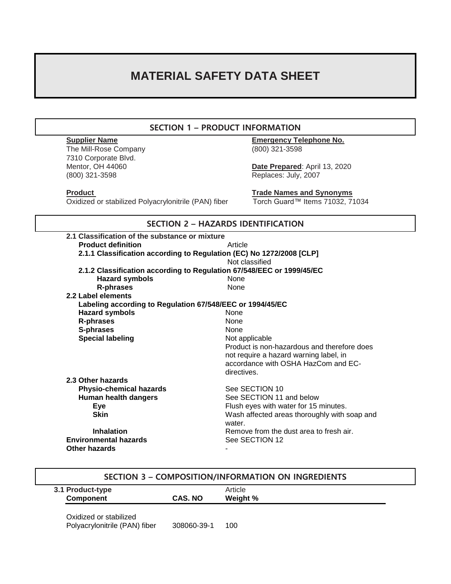# **MATERIAL SAFETY DATA SHEET**

# **SECTION 1 – PRODUCT INFORMATION**

The Mill-Rose Company (800) 321-3598 7310 Corporate Blvd. (800) 321-3598 Replaces: July, 2007

**Supplier Name Emergency Telephone No.**

Date Prepared: April 13, 2020

Oxidized or stabilized Polyacrylonitrile (PAN) fiber

**Product**<br> **Product** Oxidized or stabilized Polyacrylonitrile (PAN) fiber Torch Guard™ Items 71032, 71034

| <b>SECTION 2 - HAZARDS IDENTIFICATION</b>                            |                                                                       |  |  |  |
|----------------------------------------------------------------------|-----------------------------------------------------------------------|--|--|--|
| 2.1 Classification of the substance or mixture                       |                                                                       |  |  |  |
| <b>Product definition</b>                                            | Article                                                               |  |  |  |
| 2.1.1 Classification according to Regulation (EC) No 1272/2008 [CLP] |                                                                       |  |  |  |
|                                                                      | Not classified                                                        |  |  |  |
|                                                                      | 2.1.2 Classification according to Regulation 67/548/EEC or 1999/45/EC |  |  |  |
| <b>Hazard symbols</b>                                                | <b>None</b>                                                           |  |  |  |
| <b>R-phrases</b>                                                     | None                                                                  |  |  |  |
| 2.2 Label elements                                                   |                                                                       |  |  |  |
| Labeling according to Regulation 67/548/EEC or 1994/45/EC            |                                                                       |  |  |  |
| <b>Hazard symbols</b>                                                | None                                                                  |  |  |  |
| <b>R-phrases</b>                                                     | <b>None</b>                                                           |  |  |  |
| S-phrases                                                            | <b>None</b>                                                           |  |  |  |
| <b>Special labeling</b>                                              | Not applicable                                                        |  |  |  |
|                                                                      | Product is non-hazardous and therefore does                           |  |  |  |
|                                                                      | not require a hazard warning label, in                                |  |  |  |
|                                                                      | accordance with OSHA HazCom and EC-                                   |  |  |  |
|                                                                      | directives.                                                           |  |  |  |
| 2.3 Other hazards                                                    |                                                                       |  |  |  |
| <b>Physio-chemical hazards</b>                                       | See SECTION 10                                                        |  |  |  |
| Human health dangers                                                 | See SECTION 11 and below                                              |  |  |  |
| <b>Eye</b>                                                           | Flush eyes with water for 15 minutes.                                 |  |  |  |
| <b>Skin</b>                                                          | Wash affected areas thoroughly with soap and                          |  |  |  |
|                                                                      | water.                                                                |  |  |  |
| <b>Inhalation</b>                                                    | Remove from the dust area to fresh air.                               |  |  |  |
| <b>Environmental hazards</b>                                         | See SECTION 12                                                        |  |  |  |
| Other hazards                                                        |                                                                       |  |  |  |

| SECTION 3 - COMPOSITION/INFORMATION ON INGREDIENTS      |             |          |  |  |  |  |
|---------------------------------------------------------|-------------|----------|--|--|--|--|
| 3.1 Product-type                                        |             | Article  |  |  |  |  |
| <b>Component</b>                                        | CAS. NO     | Weight % |  |  |  |  |
| Oxidized or stabilized<br>Polyacrylonitrile (PAN) fiber | 308060-39-1 | 100      |  |  |  |  |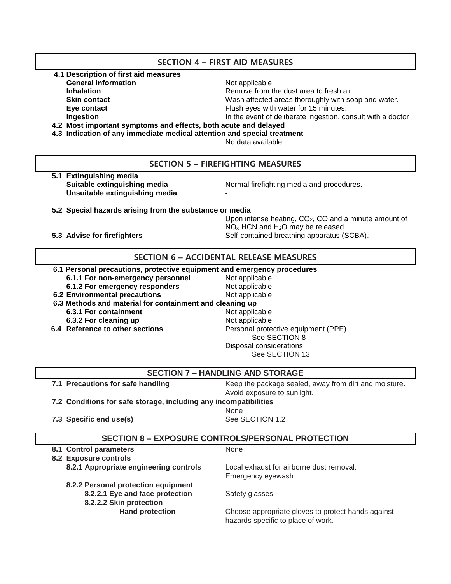# **SECTION 4 – FIRST AID MEASURES**

- **4.1 Description of first aid measures**
	- **General information** Not applicable
	-
	-
	-

**Inhalation Example 2 Inhalation Remove from the dust area to fresh air.** 

**Skin contact** Mash affected areas thoroughly with soap and water.

- 
- 
- 
- **Eye contact** Flush eyes with water for 15 minutes.

**Ingestion In the event of deliberate ingestion, consult with a doctor** 

 **4.2 Most important symptoms and effects, both acute and delayed**

 **4.3 Indication of any immediate medical attention and special treatment**

No data available

# **SECTION 5 – FIREFIGHTING MEASURES**

 **5.1 Extinguishing media Unsuitable extinguishing media -**

**Suitable extinguishing media** Normal firefighting media and procedures.

- **5.2 Special hazards arising from the substance or media**
- 

Upon intense heating, CO<sub>2</sub>, CO and a minute amount of NOx, HCN and H2O may be released. **5.3 Advise for firefighters** Self-contained breathing apparatus (SCBA).

# **SECTION 6 – ACCIDENTAL RELEASE MEASURES**

#### **6.1 Personal precautions, protective equipment and emergency procedures**

- **6.1.1 For non-emergency personnel** Not applicable
- **6.1.2 For emergency responders** Not applicable
- **6.2 Environmental precautions** Not applicable
- **6.3 Methods and material for containment and cleaning up 6.3.1 For containment** Not applicable **6.3.2 For cleaning up** Not applicable **6.4 Reference to other sections Personal protective equipment (PPE)**
- 

See SECTION 8 See SECTION 13

## **SECTION 7 – HANDLING AND STORAGE**

**7.1 Precautions for safe handling The State Keep the package sealed, away from dirt and moisture.** Avoid exposure to sunlight.

**7.2 Conditions for safe storage, including any incompatibilities**

*None* **None** *None* 

**7.3 Specific end use(s)** See SECTION 1.2

# **SECTION 8 – EXPOSURE CONTROLS/PERSONAL PROTECTION**

**8.1 Control parameters** None  **8.2 Exposure controls 8.2.1 Appropriate engineering controls** Local exhaust for airborne dust removal. Emergency eyewash. **8.2.2 Personal protection equipment 8.2.2.1 Eye and face protection** Safety glasses **8.2.2.2 Skin protection Hand protection Choose appropriate gloves to protect hands against** hazards specific to place of work.

Disposal considerations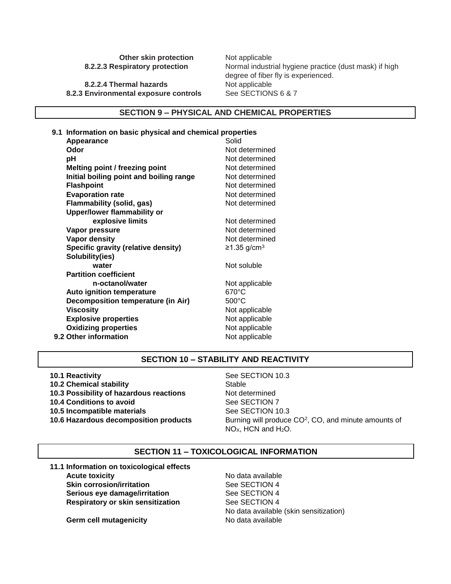**Other skin protection** Not applicable

**8.2.2.4 Thermal hazards** Not applicable 8.2.3 Environmental exposure controls See SECTIONS 6 & 7

 **8.2.2.3 Respiratory protection** Normal industrial hygiene practice (dust mask) if high degree of fiber fly is experienced.

#### **SECTION 9 – PHYSICAL AND CHEMICAL PROPERTIES**

|  | 9.1 Information on basic physical and chemical properties |                           |  |  |
|--|-----------------------------------------------------------|---------------------------|--|--|
|  | Appearance                                                | Solid                     |  |  |
|  | Odor                                                      | Not determined            |  |  |
|  | рH                                                        | Not determined            |  |  |
|  | Melting point / freezing point                            | Not determined            |  |  |
|  | Initial boiling point and boiling range                   | Not determined            |  |  |
|  | <b>Flashpoint</b>                                         | Not determined            |  |  |
|  | <b>Evaporation rate</b>                                   | Not determined            |  |  |
|  | <b>Flammability (solid, gas)</b>                          | Not determined            |  |  |
|  | <b>Upper/lower flammability or</b>                        |                           |  |  |
|  | explosive limits                                          | Not determined            |  |  |
|  | Vapor pressure                                            | Not determined            |  |  |
|  | Vapor density                                             | Not determined            |  |  |
|  | Specific gravity (relative density)                       | $≥1.35$ g/cm <sup>3</sup> |  |  |
|  | Solubility(ies)                                           |                           |  |  |
|  | water                                                     | Not soluble               |  |  |
|  | <b>Partition coefficient</b>                              |                           |  |  |
|  | n-octanol/water                                           | Not applicable            |  |  |
|  | Auto ignition temperature                                 | 670°C                     |  |  |
|  | Decomposition temperature (in Air)                        | $500^{\circ}$ C           |  |  |
|  | <b>Viscosity</b>                                          | Not applicable            |  |  |
|  | <b>Explosive properties</b>                               | Not applicable            |  |  |
|  | <b>Oxidizing properties</b>                               | Not applicable            |  |  |
|  | 9.2 Other information                                     | Not applicable            |  |  |
|  |                                                           |                           |  |  |

# **SECTION 10 – STABILITY AND REACTIVITY**

 **10.1 Reactivity** See SECTION 10.3 **10.2 Chemical stability** Stable  **10.3 Possibility of hazardous reactions** Not determined **10.4 Conditions to avoid** See SECTION 7 **10.5 Incompatible materials See SECTION 10.3 10.6 Hazardous decomposition products** 

Burning will produce CO<sup>2</sup>, CO, and minute amounts of NO<sub>x</sub>, HCN and H<sub>2</sub>O.

### **SECTION 11 – TOXICOLOGICAL INFORMATION**

 **11.1 Information on toxicological effects Acute toxicity No data available Skin corrosion/irritation** See SECTION 4 **Serious eye damage/irritation** See SECTION 4 **Respiratory or skin sensitization** See SECTION 4

No data available (skin sensitization)

**Germ cell mutagenicity No data available**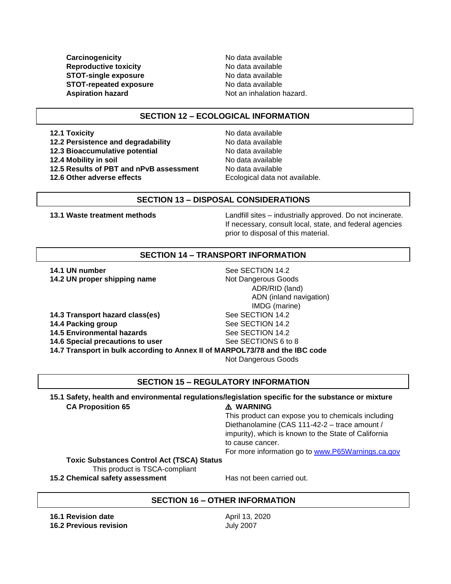**Carcinogenicity Carcinogenicity No data available Reproductive toxicity** No data available **STOT-single exposure** No data available **STOT-repeated exposure** No data available **Aspiration hazard Aspiration hazard.** Not an inhalation hazard.

### **SECTION 12 – ECOLOGICAL INFORMATION**

**12.2 Persistence and degradability** No data available **12.3 Bioaccumulative potential** No data available

**12.5 Results of PBT and nPvB assessment** No data available

**12.1 Toxicity 12.1 Toxicity 12.1 Toxicity 12.4 Mobility in soil 12.4 Mobility in soil 12.6 Other adverse effects** Ecological data not available.

#### **SECTION 13 – DISPOSAL CONSIDERATIONS**

 **13.1 Waste treatment methods** Landfill sites – industrially approved. Do not incinerate. If necessary, consult local, state, and federal agencies prior to disposal of this material.

# **SECTION 14 – TRANSPORT INFORMATION**

**14.1 UN number** See SECTION 14.2 **14.2 UN proper shipping name** Not Dangerous Goods

**14.3 Transport hazard class(es)** See SECTION 14.2 **14.4 Packing group See SECTION 14.2 14.5 Environmental hazards** See SECTION 14.2 **14.6 Special precautions to user** See SECTIONS 6 to 8

 ADR/RID (land) ADN (inland navigation) IMDG (marine) **14.7 Transport in bulk according to Annex II of MARPOL73/78 and the IBC code** Not Dangerous Goods

### **SECTION 15 – REGULATORY INFORMATION**

 **15.1 Safety, health and environmental regulations/legislation specific for the substance or mixture CA Proposition 65** ⚠️ **WARNING**

# This product can expose you to chemicals including Diethanolamine (CAS 111-42-2 – trace amount / impurity), which is known to the State of California to cause cancer.

For more information go to [www.P65Warnings.ca.gov](http://www.p65warnings.ca.gov/)

#### **Toxic Substances Control Act (TSCA) Status** This product is TSCA-compliant

**15.2 Chemical safety assessment** Has not been carried out.

# **SECTION 16 – OTHER INFORMATION**

**16.1 Revision date** April 13, 2020 **16.2 Previous revision** July 2007